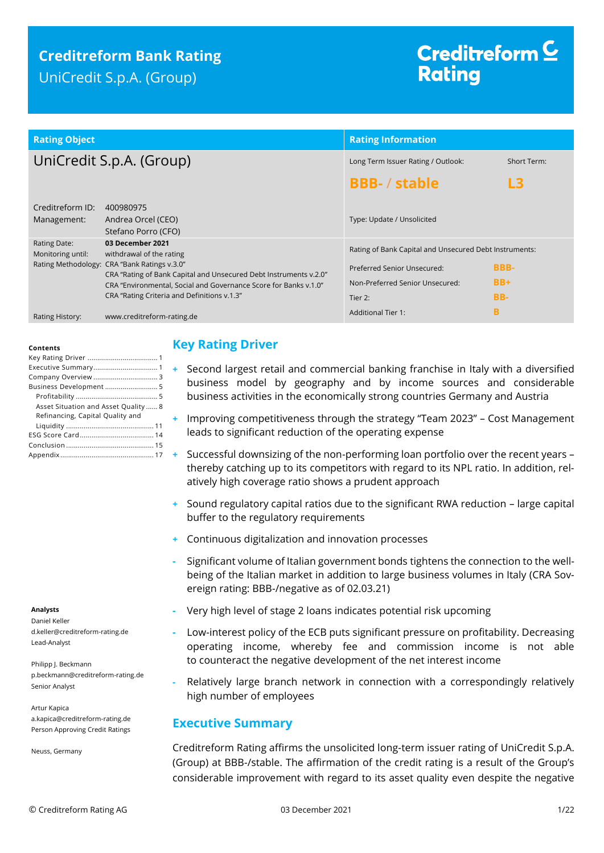## **Creditreform Bank Rating** UniCredit S.p.A. (Group)

# Creditreform  $\subseteq$ **Rating**

| <b>Rating Object</b>                     |                                                                                                                                       | <b>Rating Information</b>                                                             |             |  |
|------------------------------------------|---------------------------------------------------------------------------------------------------------------------------------------|---------------------------------------------------------------------------------------|-------------|--|
|                                          | UniCredit S.p.A. (Group)                                                                                                              | Long Term Issuer Rating / Outlook:                                                    | Short Term: |  |
|                                          |                                                                                                                                       | <b>BBB-/stable</b>                                                                    | L3          |  |
| Creditreform ID:<br>Management:          | 400980975<br>Andrea Orcel (CEO)<br>Stefano Porro (CFO)                                                                                | Type: Update / Unsolicited                                                            |             |  |
| <b>Rating Date:</b><br>Monitoring until: | 03 December 2021<br>withdrawal of the rating<br>Rating Methodology: CRA "Bank Ratings v.3.0"                                          | Rating of Bank Capital and Unsecured Debt Instruments:<br>Preferred Senior Unsecured: | <b>BBB-</b> |  |
|                                          | CRA "Rating of Bank Capital and Unsecured Debt Instruments v.2.0"<br>CRA "Environmental, Social and Governance Score for Banks v.1.0" | Non-Preferred Senior Unsecured:                                                       | $BB+$       |  |
|                                          | CRA "Rating Criteria and Definitions v.1.3"                                                                                           | Tier 2:                                                                               | BB-         |  |
| Rating History:                          | www.creditreform-rating.de                                                                                                            | <b>Additional Tier 1:</b>                                                             | B           |  |

#### **Contents**

| Business Development  5             |
|-------------------------------------|
|                                     |
| Asset Situation and Asset Quality 8 |
| Refinancing, Capital Quality and    |
|                                     |
|                                     |
|                                     |
|                                     |

#### **Analysts**

Daniel Keller d.keller@creditreform-rating.de Lead-Analyst

Philipp J. Beckmann p.beckmann@creditreform-rating.de Senior Analyst

Artur Kapica a.kapica@creditreform-rating.de Person Approving Credit Ratings

Neuss, Germany

### <span id="page-0-0"></span>**Key Rating Driver**

- **+** Second largest retail and commercial banking franchise in Italy with a diversified business model by geography and by income sources and considerable business activities in the economically strong countries Germany and Austria
- **+** Improving competitiveness through the strategy "Team 2023" Cost Management leads to significant reduction of the operating expense
- **+** Successful downsizing of the non-performing loan portfolio over the recent years thereby catching up to its competitors with regard to its NPL ratio. In addition, relatively high coverage ratio shows a prudent approach
- **+** Sound regulatory capital ratios due to the significant RWA reduction large capital buffer to the regulatory requirements
- **+** Continuous digitalization and innovation processes
- **-** Significant volume of Italian government bonds tightens the connection to the wellbeing of the Italian market in addition to large business volumes in Italy (CRA Sovereign rating: BBB-/negative as of 02.03.21)
- **-** Very high level of stage 2 loans indicates potential risk upcoming
- **-** Low-interest policy of the ECB puts significant pressure on profitability. Decreasing operating income, whereby fee and commission income is not able to counteract the negative development of the net interest income
- **-** Relatively large branch network in connection with a correspondingly relatively high number of employees

### <span id="page-0-1"></span>**Executive Summary**

Creditreform Rating affirms the unsolicited long-term issuer rating of UniCredit S.p.A. (Group) at BBB-/stable. The affirmation of the credit rating is a result of the Group's considerable improvement with regard to its asset quality even despite the negative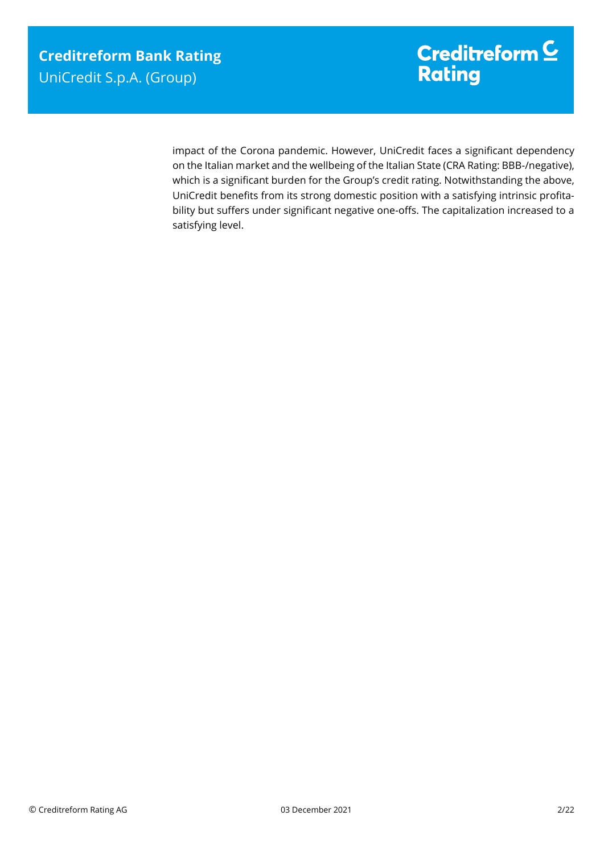impact of the Corona pandemic. However, UniCredit faces a significant dependency on the Italian market and the wellbeing of the Italian State (CRA Rating: BBB-/negative), which is a significant burden for the Group's credit rating. Notwithstanding the above, UniCredit benefits from its strong domestic position with a satisfying intrinsic profitability but suffers under significant negative one-offs. The capitalization increased to a satisfying level.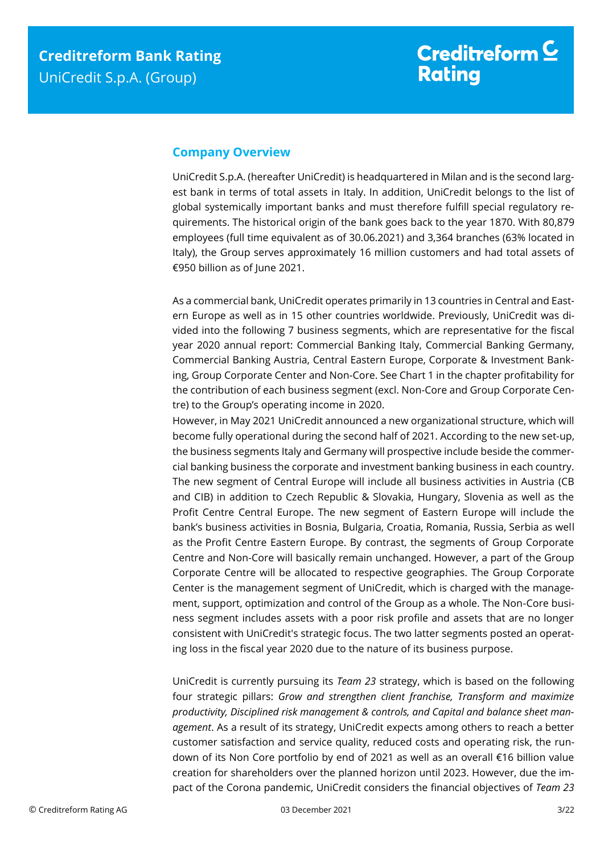### <span id="page-2-0"></span>**Company Overview**

UniCredit S.p.A. (hereafter UniCredit) is headquartered in Milan and is the second largest bank in terms of total assets in Italy. In addition, UniCredit belongs to the list of global systemically important banks and must therefore fulfill special regulatory requirements. The historical origin of the bank goes back to the year 1870. With 80,879 employees (full time equivalent as of 30.06.2021) and 3,364 branches (63% located in Italy), the Group serves approximately 16 million customers and had total assets of €950 billion as of June 2021.

As a commercial bank, UniCredit operates primarily in 13 countries in Central and Eastern Europe as well as in 15 other countries worldwide. Previously, UniCredit was divided into the following 7 business segments, which are representative for the fiscal year 2020 annual report: Commercial Banking Italy, Commercial Banking Germany, Commercial Banking Austria, Central Eastern Europe, Corporate & Investment Banking, Group Corporate Center and Non-Core. See Chart 1 in the chapter profitability for the contribution of each business segment (excl. Non-Core and Group Corporate Centre) to the Group's operating income in 2020.

However, in May 2021 UniCredit announced a new organizational structure, which will become fully operational during the second half of 2021. According to the new set-up, the business segments Italy and Germany will prospective include beside the commercial banking business the corporate and investment banking business in each country. The new segment of Central Europe will include all business activities in Austria (CB and CIB) in addition to Czech Republic & Slovakia, Hungary, Slovenia as well as the Profit Centre Central Europe. The new segment of Eastern Europe will include the bank's business activities in Bosnia, Bulgaria, Croatia, Romania, Russia, Serbia as well as the Profit Centre Eastern Europe. By contrast, the segments of Group Corporate Centre and Non-Core will basically remain unchanged. However, a part of the Group Corporate Centre will be allocated to respective geographies. The Group Corporate Center is the management segment of UniCredit, which is charged with the management, support, optimization and control of the Group as a whole. The Non-Core business segment includes assets with a poor risk profile and assets that are no longer consistent with UniCredit's strategic focus. The two latter segments posted an operating loss in the fiscal year 2020 due to the nature of its business purpose.

UniCredit is currently pursuing its *Team 23* strategy, which is based on the following four strategic pillars: *Grow and strengthen client franchise, Transform and maximize productivity, Disciplined risk management & controls, and Capital and balance sheet management*. As a result of its strategy, UniCredit expects among others to reach a better customer satisfaction and service quality, reduced costs and operating risk, the rundown of its Non Core portfolio by end of 2021 as well as an overall €16 billion value creation for shareholders over the planned horizon until 2023. However, due the impact of the Corona pandemic, UniCredit considers the financial objectives of *Team 23*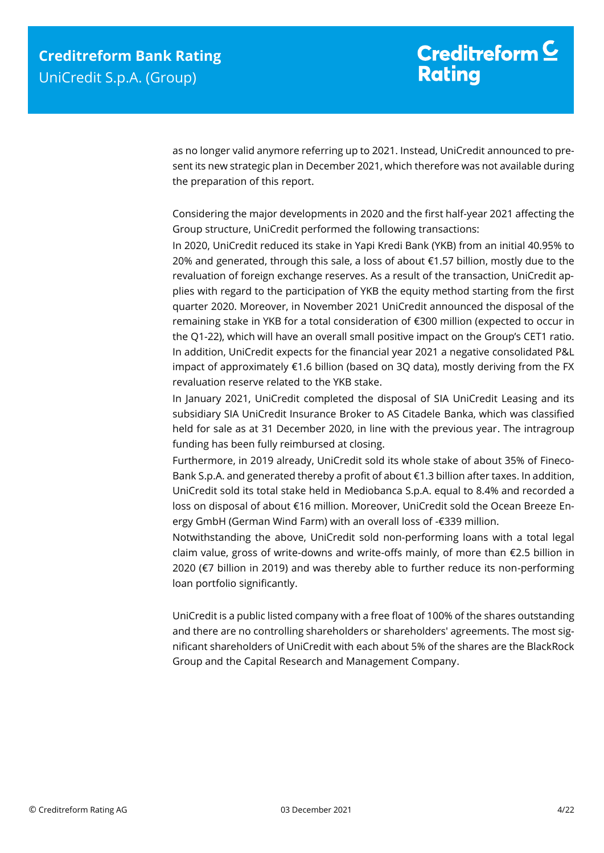as no longer valid anymore referring up to 2021. Instead, UniCredit announced to present its new strategic plan in December 2021, which therefore was not available during the preparation of this report.

Considering the major developments in 2020 and the first half-year 2021 affecting the Group structure, UniCredit performed the following transactions:

In 2020, UniCredit reduced its stake in Yapi Kredi Bank (YKB) from an initial 40.95% to 20% and generated, through this sale, a loss of about €1.57 billion, mostly due to the revaluation of foreign exchange reserves. As a result of the transaction, UniCredit applies with regard to the participation of YKB the equity method starting from the first quarter 2020. Moreover, in November 2021 UniCredit announced the disposal of the remaining stake in YKB for a total consideration of €300 million (expected to occur in the Q1-22), which will have an overall small positive impact on the Group's CET1 ratio. In addition, UniCredit expects for the financial year 2021 a negative consolidated P&L impact of approximately  $\epsilon$ 1.6 billion (based on 3Q data), mostly deriving from the FX revaluation reserve related to the YKB stake.

In January 2021, UniCredit completed the disposal of SIA UniCredit Leasing and its subsidiary SIA UniCredit Insurance Broker to AS Citadele Banka, which was classified held for sale as at 31 December 2020, in line with the previous year. The intragroup funding has been fully reimbursed at closing.

Furthermore, in 2019 already, UniCredit sold its whole stake of about 35% of Fineco-Bank S.p.A. and generated thereby a profit of about €1.3 billion after taxes. In addition, UniCredit sold its total stake held in Mediobanca S.p.A. equal to 8.4% and recorded a loss on disposal of about €16 million. Moreover, UniCredit sold the Ocean Breeze Energy GmbH (German Wind Farm) with an overall loss of -€339 million.

Notwithstanding the above, UniCredit sold non-performing loans with a total legal claim value, gross of write-downs and write-offs mainly, of more than  $\epsilon$ 2.5 billion in 2020 (€7 billion in 2019) and was thereby able to further reduce its non-performing loan portfolio significantly.

UniCredit is a public listed company with a free float of 100% of the shares outstanding and there are no controlling shareholders or shareholders' agreements. The most significant shareholders of UniCredit with each about 5% of the shares are the BlackRock Group and the Capital Research and Management Company.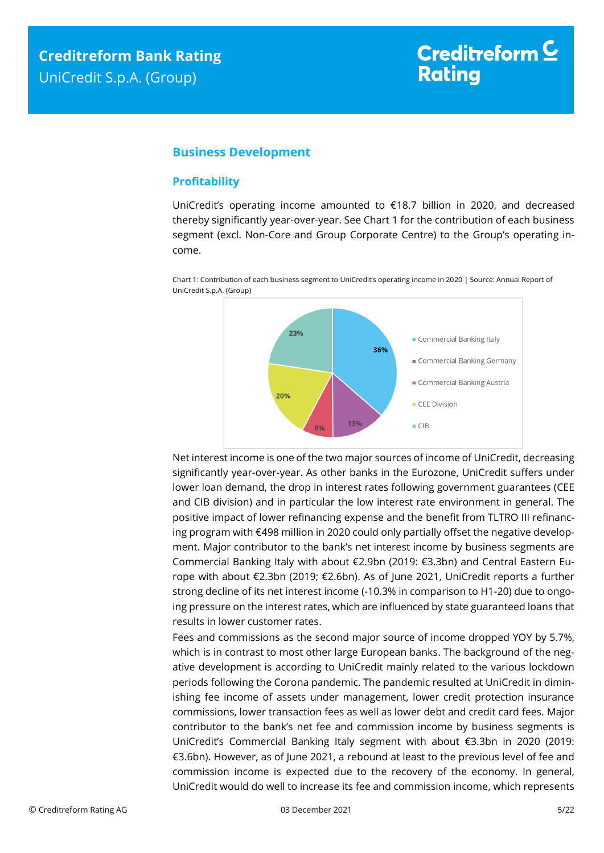### <span id="page-4-0"></span>**Business Development**

#### <span id="page-4-1"></span>**Profitability**

UniCredit's operating income amounted to €18.7 billion in 2020, and decreased thereby significantly year-over-year. See Chart 1 for the contribution of each business segment (excl. Non-Core and Group Corporate Centre) to the Group's operating income.



Chart 1: Contribution of each business segment to UniCredit's operating income in 2020 | Source: Annual Report of UniCredit S.p.A. (Group)

Net interest income is one of the two major sources of income of UniCredit, decreasing significantly year-over-year. As other banks in the Eurozone, UniCredit suffers under lower loan demand, the drop in interest rates following government guarantees (CEE and CIB division) and in particular the low interest rate environment in general. The positive impact of lower refinancing expense and the benefit from TLTRO III refinancing program with €498 million in 2020 could only partially offset the negative development. Major contributor to the bank's net interest income by business segments are Commercial Banking Italy with about €2.9bn (2019: €3.3bn) and Central Eastern Europe with about €2.3bn (2019; €2.6bn). As of June 2021, UniCredit reports a further strong decline of its net interest income (-10.3% in comparison to H1-20) due to ongoing pressure on the interest rates, which are influenced by state guaranteed loans that results in lower customer rates.

Fees and commissions as the second major source of income dropped YOY by 5.7%, which is in contrast to most other large European banks. The background of the negative development is according to UniCredit mainly related to the various lockdown periods following the Corona pandemic. The pandemic resulted at UniCredit in diminishing fee income of assets under management, lower credit protection insurance commissions, lower transaction fees as well as lower debt and credit card fees. Major contributor to the bank's net fee and commission income by business segments is UniCredit's Commercial Banking Italy segment with about €3.3bn in 2020 (2019: €3.6bn). However, as of June 2021, a rebound at least to the previous level of fee and commission income is expected due to the recovery of the economy. In general, UniCredit would do well to increase its fee and commission income, which represents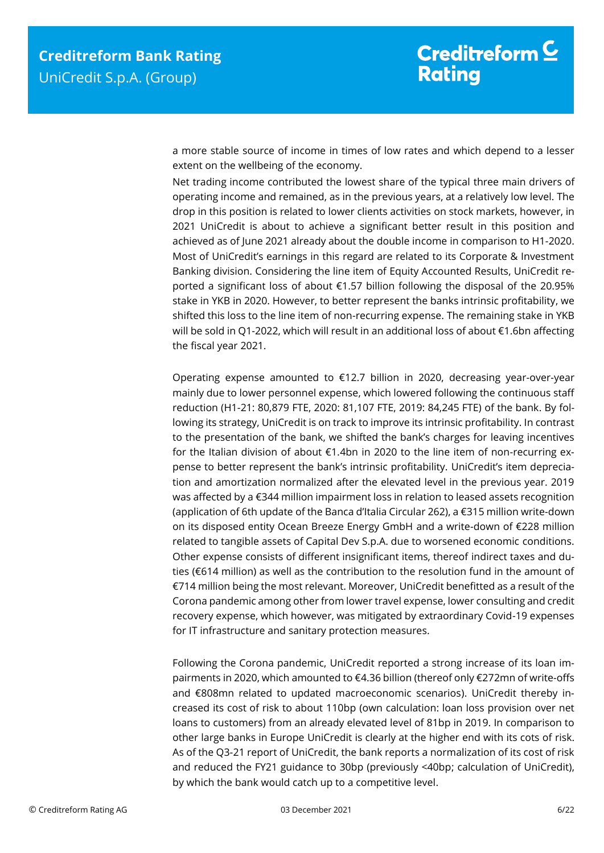a more stable source of income in times of low rates and which depend to a lesser extent on the wellbeing of the economy.

Net trading income contributed the lowest share of the typical three main drivers of operating income and remained, as in the previous years, at a relatively low level. The drop in this position is related to lower clients activities on stock markets, however, in 2021 UniCredit is about to achieve a significant better result in this position and achieved as of June 2021 already about the double income in comparison to H1-2020. Most of UniCredit's earnings in this regard are related to its Corporate & Investment Banking division. Considering the line item of Equity Accounted Results, UniCredit reported a significant loss of about €1.57 billion following the disposal of the 20.95% stake in YKB in 2020. However, to better represent the banks intrinsic profitability, we shifted this loss to the line item of non-recurring expense. The remaining stake in YKB will be sold in Q1-2022, which will result in an additional loss of about €1.6bn affecting the fiscal year 2021.

Operating expense amounted to €12.7 billion in 2020, decreasing year-over-year mainly due to lower personnel expense, which lowered following the continuous staff reduction (H1-21: 80,879 FTE, 2020: 81,107 FTE, 2019: 84,245 FTE) of the bank. By following its strategy, UniCredit is on track to improve its intrinsic profitability. In contrast to the presentation of the bank, we shifted the bank's charges for leaving incentives for the Italian division of about €1.4bn in 2020 to the line item of non-recurring expense to better represent the bank's intrinsic profitability. UniCredit's item depreciation and amortization normalized after the elevated level in the previous year. 2019 was affected by a €344 million impairment loss in relation to leased assets recognition (application of 6th update of the Banca d'Italia Circular 262), a €315 million write-down on its disposed entity Ocean Breeze Energy GmbH and a write-down of €228 million related to tangible assets of Capital Dev S.p.A. due to worsened economic conditions. Other expense consists of different insignificant items, thereof indirect taxes and duties (€614 million) as well as the contribution to the resolution fund in the amount of €714 million being the most relevant. Moreover, UniCredit benefitted as a result of the Corona pandemic among other from lower travel expense, lower consulting and credit recovery expense, which however, was mitigated by extraordinary Covid-19 expenses for IT infrastructure and sanitary protection measures.

Following the Corona pandemic, UniCredit reported a strong increase of its loan impairments in 2020, which amounted to €4.36 billion (thereof only €272mn of write-offs and €808mn related to updated macroeconomic scenarios). UniCredit thereby increased its cost of risk to about 110bp (own calculation: loan loss provision over net loans to customers) from an already elevated level of 81bp in 2019. In comparison to other large banks in Europe UniCredit is clearly at the higher end with its cots of risk. As of the Q3-21 report of UniCredit, the bank reports a normalization of its cost of risk and reduced the FY21 guidance to 30bp (previously <40bp; calculation of UniCredit), by which the bank would catch up to a competitive level.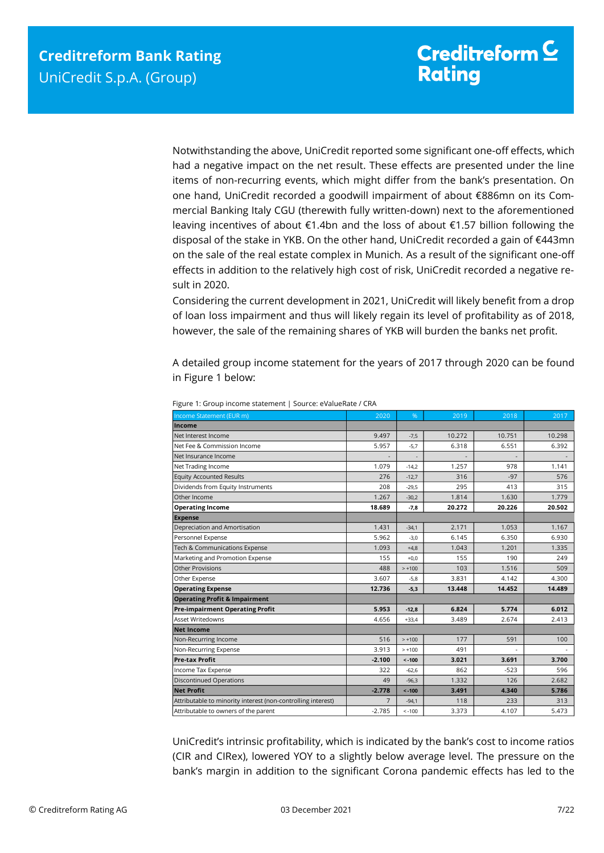Notwithstanding the above, UniCredit reported some significant one-off effects, which had a negative impact on the net result. These effects are presented under the line items of non-recurring events, which might differ from the bank's presentation. On one hand, UniCredit recorded a goodwill impairment of about €886mn on its Commercial Banking Italy CGU (therewith fully written-down) next to the aforementioned leaving incentives of about €1.4bn and the loss of about €1.57 billion following the disposal of the stake in YKB. On the other hand, UniCredit recorded a gain of €443mn on the sale of the real estate complex in Munich. As a result of the significant one-off effects in addition to the relatively high cost of risk, UniCredit recorded a negative result in 2020.

Considering the current development in 2021, UniCredit will likely benefit from a drop of loan loss impairment and thus will likely regain its level of profitability as of 2018, however, the sale of the remaining shares of YKB will burden the banks net profit.

A detailed group income statement for the years of 2017 through 2020 can be found in Figure 1 below:

| Income Statement (EUR m)                                     | 2020           | %        | 2019   | 2018   | 2017   |
|--------------------------------------------------------------|----------------|----------|--------|--------|--------|
| Income                                                       |                |          |        |        |        |
| Net Interest Income                                          | 9.497          | $-7,5$   | 10.272 | 10.751 | 10.298 |
| Net Fee & Commission Income                                  | 5.957          | $-5,7$   | 6.318  | 6.551  | 6.392  |
| Net Insurance Income                                         |                |          |        |        |        |
| Net Trading Income                                           | 1.079          | $-14,2$  | 1.257  | 978    | 1.141  |
| <b>Equity Accounted Results</b>                              | 276            | $-12,7$  | 316    | $-97$  | 576    |
| Dividends from Equity Instruments                            | 208            | $-29,5$  | 295    | 413    | 315    |
| Other Income                                                 | 1.267          | $-30,2$  | 1.814  | 1.630  | 1.779  |
| <b>Operating Income</b>                                      | 18.689         | $-7,8$   | 20.272 | 20.226 | 20.502 |
| <b>Expense</b>                                               |                |          |        |        |        |
| Depreciation and Amortisation                                | 1.431          | $-34,1$  | 2.171  | 1.053  | 1.167  |
| Personnel Expense                                            | 5.962          | $-3,0$   | 6.145  | 6.350  | 6.930  |
| Tech & Communications Expense                                | 1.093          | $+4,8$   | 1.043  | 1.201  | 1.335  |
| Marketing and Promotion Expense                              | 155            | $+0.0$   | 155    | 190    | 249    |
| <b>Other Provisions</b>                                      | 488            | $> +100$ | 103    | 1.516  | 509    |
| Other Expense                                                | 3.607          | $-5,8$   | 3.831  | 4.142  | 4.300  |
| <b>Operating Expense</b>                                     | 12.736         | $-5,3$   | 13.448 | 14.452 | 14.489 |
| <b>Operating Profit &amp; Impairment</b>                     |                |          |        |        |        |
| <b>Pre-impairment Operating Profit</b>                       | 5.953          | $-12,8$  | 6.824  | 5.774  | 6.012  |
| <b>Asset Writedowns</b>                                      | 4.656          | $+33,4$  | 3.489  | 2.674  | 2.413  |
| <b>Net Income</b>                                            |                |          |        |        |        |
| Non-Recurring Income                                         | 516            | $> +100$ | 177    | 591    | 100    |
| Non-Recurring Expense                                        | 3.913          | $> +100$ | 491    |        |        |
| <b>Pre-tax Profit</b>                                        | $-2.100$       | $< -100$ | 3.021  | 3.691  | 3.700  |
| Income Tax Expense                                           | 322            | $-62.6$  | 862    | $-523$ | 596    |
| <b>Discontinued Operations</b>                               | 49             | $-96.3$  | 1.332  | 126    | 2.682  |
| <b>Net Profit</b>                                            | $-2.778$       | $< -100$ | 3.491  | 4.340  | 5.786  |
| Attributable to minority interest (non-controlling interest) | $\overline{7}$ | $-94,1$  | 118    | 233    | 313    |
| Attributable to owners of the parent                         | $-2.785$       | $< -100$ | 3.373  | 4.107  | 5.473  |

Figure 1: Group income statement | Source: eValueRate / CRA

UniCredit's intrinsic profitability, which is indicated by the bank's cost to income ratios (CIR and CIRex), lowered YOY to a slightly below average level. The pressure on the bank's margin in addition to the significant Corona pandemic effects has led to the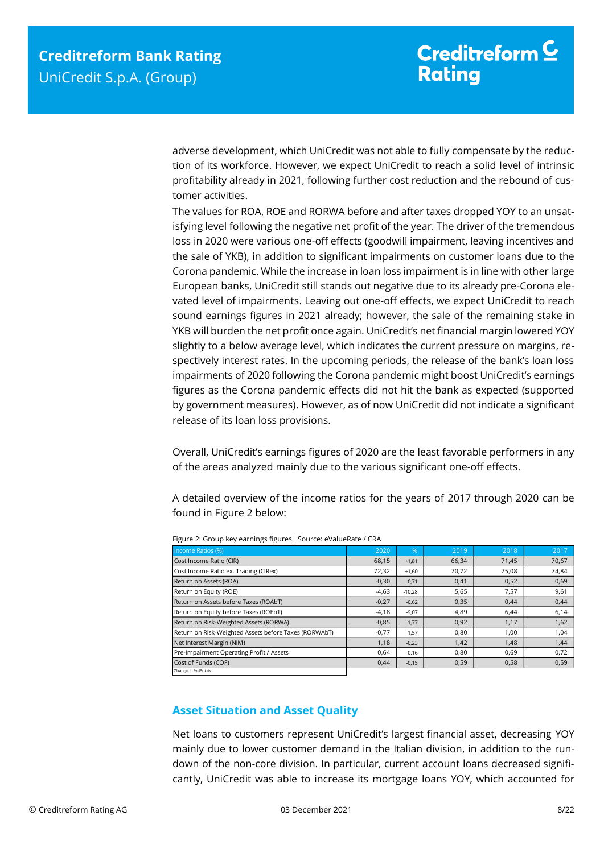adverse development, which UniCredit was not able to fully compensate by the reduction of its workforce. However, we expect UniCredit to reach a solid level of intrinsic profitability already in 2021, following further cost reduction and the rebound of customer activities.

The values for ROA, ROE and RORWA before and after taxes dropped YOY to an unsatisfying level following the negative net profit of the year. The driver of the tremendous loss in 2020 were various one-off effects (goodwill impairment, leaving incentives and the sale of YKB), in addition to significant impairments on customer loans due to the Corona pandemic. While the increase in loan loss impairment is in line with other large European banks, UniCredit still stands out negative due to its already pre-Corona elevated level of impairments. Leaving out one-off effects, we expect UniCredit to reach sound earnings figures in 2021 already; however, the sale of the remaining stake in YKB will burden the net profit once again. UniCredit's net financial margin lowered YOY slightly to a below average level, which indicates the current pressure on margins, respectively interest rates. In the upcoming periods, the release of the bank's loan loss impairments of 2020 following the Corona pandemic might boost UniCredit's earnings figures as the Corona pandemic effects did not hit the bank as expected (supported by government measures). However, as of now UniCredit did not indicate a significant release of its loan loss provisions.

Overall, UniCredit's earnings figures of 2020 are the least favorable performers in any of the areas analyzed mainly due to the various significant one-off effects.

A detailed overview of the income ratios for the years of 2017 through 2020 can be found in Figure 2 below:

| Income Ratios (%)                                                                                                                                                                                                                                                      | 2020    | %        | 2019  | 2018  | 2017  |
|------------------------------------------------------------------------------------------------------------------------------------------------------------------------------------------------------------------------------------------------------------------------|---------|----------|-------|-------|-------|
| Cost Income Ratio (CIR)                                                                                                                                                                                                                                                | 68,15   | $+1,81$  | 66,34 | 71,45 | 70,67 |
| Cost Income Ratio ex. Trading (CIRex)                                                                                                                                                                                                                                  | 72,32   | $+1.60$  | 70,72 | 75,08 | 74,84 |
| Return on Assets (ROA)                                                                                                                                                                                                                                                 | $-0,30$ | $-0,71$  | 0,41  | 0,52  | 0,69  |
| Return on Equity (ROE)                                                                                                                                                                                                                                                 | $-4,63$ | $-10.28$ | 5.65  | 7.57  | 9,61  |
| Return on Assets before Taxes (ROAbT)                                                                                                                                                                                                                                  | $-0,27$ | $-0,62$  | 0,35  | 0,44  | 0,44  |
| Return on Equity before Taxes (ROEbT)                                                                                                                                                                                                                                  | $-4,18$ | $-9.07$  | 4,89  | 6,44  | 6,14  |
| Return on Risk-Weighted Assets (RORWA)                                                                                                                                                                                                                                 | $-0,85$ | $-1,77$  | 0,92  | 1,17  | 1,62  |
| Return on Risk-Weighted Assets before Taxes (RORWAbT)                                                                                                                                                                                                                  | $-0,77$ | $-1,57$  | 0,80  | 1,00  | 1,04  |
| Net Interest Margin (NIM)                                                                                                                                                                                                                                              | 1,18    | $-0,23$  | 1,42  | 1,48  | 1,44  |
| Pre-Impairment Operating Profit / Assets                                                                                                                                                                                                                               | 0,64    | $-0.16$  | 0.80  | 0,69  | 0,72  |
| Cost of Funds (COF)                                                                                                                                                                                                                                                    | 0,44    | $-0,15$  | 0,59  | 0,58  | 0,59  |
| <b>Asset Situation and Asset Quality</b>                                                                                                                                                                                                                               |         |          |       |       |       |
|                                                                                                                                                                                                                                                                        |         |          |       |       |       |
| Net loans to customers represent UniCredit's largest financial asset, decreasing YOY<br>mainly due to lower customer demand in the Italian division, in addition to the run-<br>down of the non-core division. In particular, current account loans decreased signifi- |         |          |       |       |       |
| cantly, UniCredit was able to increase its mortgage loans YOY, which accounted for                                                                                                                                                                                     |         |          |       |       |       |

Figure 2: Group key earnings figures| Source: eValueRate / CRA

### <span id="page-7-0"></span>**Asset Situation and Asset Quality**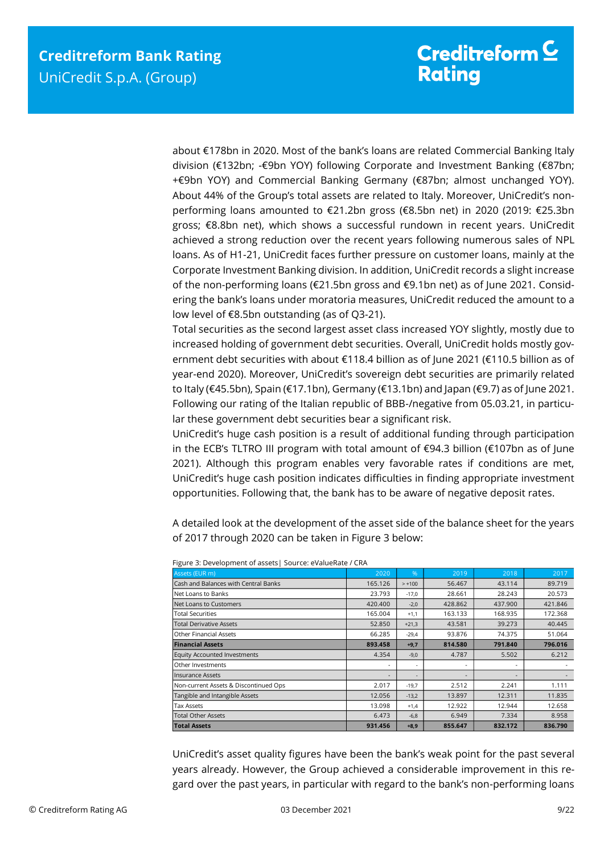about €178bn in 2020. Most of the bank's loans are related Commercial Banking Italy division (€132bn; -€9bn YOY) following Corporate and Investment Banking (€87bn; +€9bn YOY) and Commercial Banking Germany (€87bn; almost unchanged YOY). About 44% of the Group's total assets are related to Italy. Moreover, UniCredit's nonperforming loans amounted to €21.2bn gross (€8.5bn net) in 2020 (2019: €25.3bn gross; €8.8bn net), which shows a successful rundown in recent years. UniCredit achieved a strong reduction over the recent years following numerous sales of NPL loans. As of H1-21, UniCredit faces further pressure on customer loans, mainly at the Corporate Investment Banking division. In addition, UniCredit records a slight increase of the non-performing loans (€21.5bn gross and €9.1bn net) as of June 2021. Considering the bank's loans under moratoria measures, UniCredit reduced the amount to a low level of €8.5bn outstanding (as of Q3-21).

Total securities as the second largest asset class increased YOY slightly, mostly due to increased holding of government debt securities. Overall, UniCredit holds mostly government debt securities with about €118.4 billion as of June 2021 (€110.5 billion as of year-end 2020). Moreover, UniCredit's sovereign debt securities are primarily related to Italy (€45.5bn), Spain (€17.1bn), Germany (€13.1bn) and Japan (€9.7) as of June 2021. Following our rating of the Italian republic of BBB-/negative from 05.03.21, in particular these government debt securities bear a significant risk.

UniCredit's huge cash position is a result of additional funding through participation in the ECB's TLTRO III program with total amount of €94.3 billion (€107bn as of June 2021). Although this program enables very favorable rates if conditions are met, UniCredit's huge cash position indicates difficulties in finding appropriate investment opportunities. Following that, the bank has to be aware of negative deposit rates.

A detailed look at the development of the asset side of the balance sheet for the years of 2017 through 2020 can be taken in Figure 3 below:

| Assets (EUR m)                                                                                                                                                                                                                                                        | 2020                     | %        | 2019                     | 2018    | 2017    |  |
|-----------------------------------------------------------------------------------------------------------------------------------------------------------------------------------------------------------------------------------------------------------------------|--------------------------|----------|--------------------------|---------|---------|--|
| Cash and Balances with Central Banks                                                                                                                                                                                                                                  | 165.126                  | $> +100$ | 56.467                   | 43.114  | 89.719  |  |
| Net Loans to Banks                                                                                                                                                                                                                                                    | 23.793                   | $-17.0$  | 28.661                   | 28.243  | 20.573  |  |
| Net Loans to Customers                                                                                                                                                                                                                                                | 420,400                  | $-2.0$   | 428.862                  | 437.900 | 421.846 |  |
| <b>Total Securities</b>                                                                                                                                                                                                                                               | 165.004                  | $+1.1$   | 163.133                  | 168.935 | 172.368 |  |
| <b>Total Derivative Assets</b>                                                                                                                                                                                                                                        | 52.850                   | $+21.3$  | 43.581                   | 39.273  | 40.445  |  |
| <b>Other Financial Assets</b>                                                                                                                                                                                                                                         | 66.285                   | $-29.4$  | 93.876                   | 74.375  | 51.064  |  |
| <b>Financial Assets</b>                                                                                                                                                                                                                                               | 893.458                  | $+9,7$   | 814.580                  | 791.840 | 796.016 |  |
| <b>Equity Accounted Investments</b>                                                                                                                                                                                                                                   | 4.354                    | $-9.0$   | 4.787                    | 5.502   | 6.212   |  |
| Other Investments                                                                                                                                                                                                                                                     | $\overline{\phantom{a}}$ |          | ٠                        |         |         |  |
| <b>Insurance Assets</b>                                                                                                                                                                                                                                               | $\overline{\phantom{a}}$ |          | $\overline{\phantom{a}}$ |         |         |  |
| Non-current Assets & Discontinued Ops                                                                                                                                                                                                                                 | 2.017                    | $-19.7$  | 2.512                    | 2.241   | 1.111   |  |
| Tangible and Intangible Assets                                                                                                                                                                                                                                        | 12.056                   | $-13,2$  | 13.897                   | 12.311  | 11.835  |  |
| <b>Tax Assets</b>                                                                                                                                                                                                                                                     | 13.098                   | $+1.4$   | 12.922                   | 12.944  | 12.658  |  |
| <b>Total Other Assets</b>                                                                                                                                                                                                                                             | 6.473                    | $-6.8$   | 6.949                    | 7.334   | 8.958   |  |
| <b>Total Assets</b>                                                                                                                                                                                                                                                   | 931.456                  | $+8,9$   | 855.647                  | 832.172 | 836.790 |  |
| UniCredit's asset quality figures have been the bank's weak point for the past several<br>years already. However, the Group achieved a considerable improvement in this re-<br>gard over the past years, in particular with regard to the bank's non-performing loans |                          |          |                          |         |         |  |

Figure 3: Development of assets| Source: eValueRate / CRA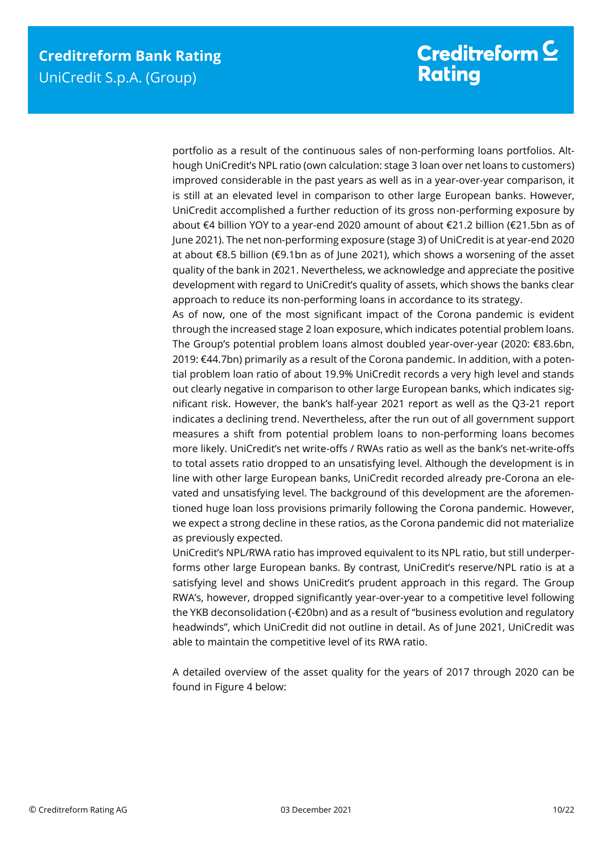portfolio as a result of the continuous sales of non-performing loans portfolios. Although UniCredit's NPL ratio (own calculation: stage 3 loan over net loans to customers) improved considerable in the past years as well as in a year-over-year comparison, it is still at an elevated level in comparison to other large European banks. However, UniCredit accomplished a further reduction of its gross non-performing exposure by about €4 billion YOY to a year-end 2020 amount of about €21.2 billion (€21.5bn as of June 2021). The net non-performing exposure (stage 3) of UniCredit is at year-end 2020 at about €8.5 billion (€9.1bn as of June 2021), which shows a worsening of the asset quality of the bank in 2021. Nevertheless, we acknowledge and appreciate the positive development with regard to UniCredit's quality of assets, which shows the banks clear approach to reduce its non-performing loans in accordance to its strategy.

As of now, one of the most significant impact of the Corona pandemic is evident through the increased stage 2 loan exposure, which indicates potential problem loans. The Group's potential problem loans almost doubled year-over-year (2020: €83.6bn, 2019: €44.7bn) primarily as a result of the Corona pandemic. In addition, with a potential problem loan ratio of about 19.9% UniCredit records a very high level and stands out clearly negative in comparison to other large European banks, which indicates significant risk. However, the bank's half-year 2021 report as well as the Q3-21 report indicates a declining trend. Nevertheless, after the run out of all government support measures a shift from potential problem loans to non-performing loans becomes more likely. UniCredit's net write-offs / RWAs ratio as well as the bank's net-write-offs to total assets ratio dropped to an unsatisfying level. Although the development is in line with other large European banks, UniCredit recorded already pre-Corona an elevated and unsatisfying level. The background of this development are the aforementioned huge loan loss provisions primarily following the Corona pandemic. However, we expect a strong decline in these ratios, as the Corona pandemic did not materialize as previously expected.

UniCredit's NPL/RWA ratio has improved equivalent to its NPL ratio, but still underperforms other large European banks. By contrast, UniCredit's reserve/NPL ratio is at a satisfying level and shows UniCredit's prudent approach in this regard. The Group RWA's, however, dropped significantly year-over-year to a competitive level following the YKB deconsolidation (-€20bn) and as a result of "business evolution and regulatory headwinds", which UniCredit did not outline in detail. As of June 2021, UniCredit was able to maintain the competitive level of its RWA ratio.

A detailed overview of the asset quality for the years of 2017 through 2020 can be found in Figure 4 below: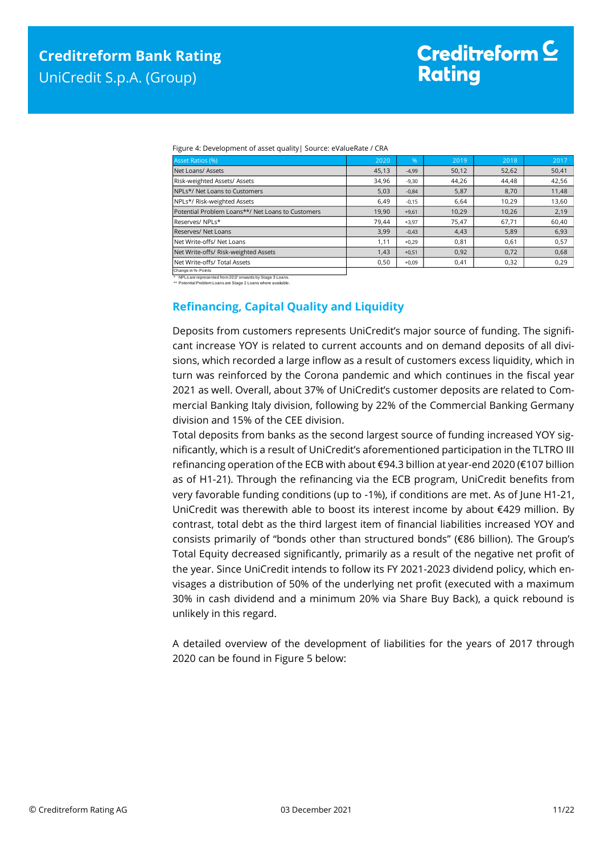|  | Figure 4: Development of asset quality   Source: eValueRate / CRA |  |
|--|-------------------------------------------------------------------|--|
|  |                                                                   |  |

| Asset Ratios (%)                                  | 2020  | $\%$    | 2019  | 2018  | 2017  |
|---------------------------------------------------|-------|---------|-------|-------|-------|
| Net Loans/ Assets                                 | 45,13 | $-4.99$ | 50,12 | 52,62 | 50,41 |
| Risk-weighted Assets/ Assets                      | 34,96 | $-9,30$ | 44,26 | 44,48 | 42,56 |
| NPLs*/ Net Loans to Customers                     | 5,03  | $-0,84$ | 5,87  | 8,70  | 11,48 |
| NPLs*/ Risk-weighted Assets                       | 6,49  | $-0.15$ | 6,64  | 10,29 | 13,60 |
| Potential Problem Loans**/ Net Loans to Customers | 19,90 | $+9,61$ | 10,29 | 10,26 | 2,19  |
| Reserves/NPLs*                                    | 79.44 | $+3,97$ | 75,47 | 67,71 | 60,40 |
| Reserves/ Net Loans                               | 3,99  | $-0.43$ | 4,43  | 5,89  | 6,93  |
| Net Write-offs/ Net Loans                         | 1,11  | $+0.29$ | 0,81  | 0,61  | 0,57  |
| Net Write-offs/ Risk-weighted Assets              | 1.43  | $+0,51$ | 0,92  | 0.72  | 0,68  |
| Net Write-offs/ Total Assets                      | 0.50  | $+0.09$ | 0.41  | 0.32  | 0,29  |

Change in %- Points

<span id="page-10-0"></span>\* NPLs are represented from 2017 onwards by Stage 3 Loans. \*\* Potential Problem Loans are Stage 2 Loans where available.

#### **Refinancing, Capital Quality and Liquidity**

Deposits from customers represents UniCredit's major source of funding. The significant increase YOY is related to current accounts and on demand deposits of all divisions, which recorded a large inflow as a result of customers excess liquidity, which in turn was reinforced by the Corona pandemic and which continues in the fiscal year 2021 as well. Overall, about 37% of UniCredit's customer deposits are related to Commercial Banking Italy division, following by 22% of the Commercial Banking Germany division and 15% of the CEE division.

Total deposits from banks as the second largest source of funding increased YOY significantly, which is a result of UniCredit's aforementioned participation in the TLTRO III refinancing operation of the ECB with about €94.3 billion at year-end 2020 (€107 billion as of H1-21). Through the refinancing via the ECB program, UniCredit benefits from very favorable funding conditions (up to -1%), if conditions are met. As of June H1-21, UniCredit was therewith able to boost its interest income by about €429 million. By contrast, total debt as the third largest item of financial liabilities increased YOY and consists primarily of "bonds other than structured bonds" (€86 billion). The Group's Total Equity decreased significantly, primarily as a result of the negative net profit of the year. Since UniCredit intends to follow its FY 2021-2023 dividend policy, which envisages a distribution of 50% of the underlying net profit (executed with a maximum 30% in cash dividend and a minimum 20% via Share Buy Back), a quick rebound is unlikely in this regard.

A detailed overview of the development of liabilities for the years of 2017 through 2020 can be found in Figure 5 below: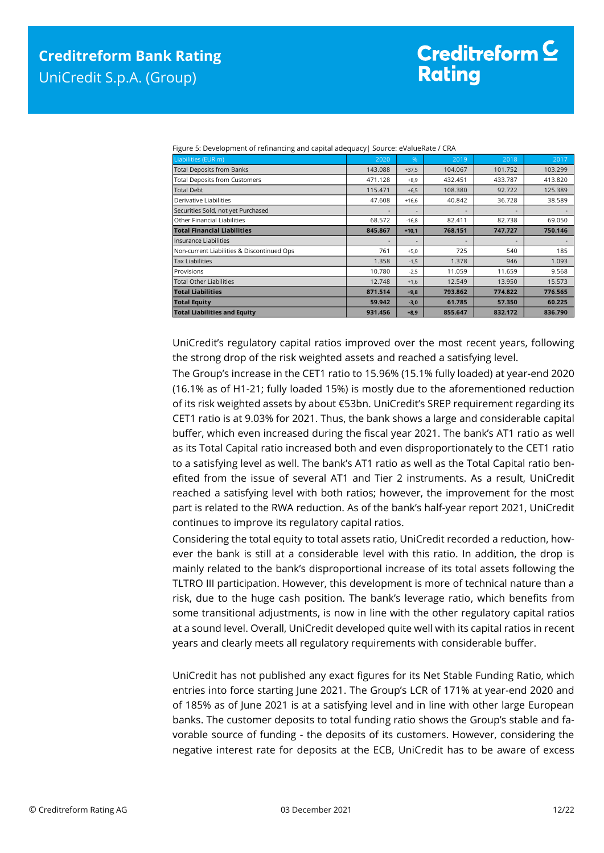| Liabilities (EUR m)                        | 2020                     | %       | 2019    | 2018    | 2017    |
|--------------------------------------------|--------------------------|---------|---------|---------|---------|
| <b>Total Deposits from Banks</b>           | 143.088                  | $+37,5$ | 104.067 | 101.752 | 103.299 |
| <b>Total Deposits from Customers</b>       | 471.128                  | $+8.9$  | 432.451 | 433.787 | 413.820 |
| <b>Total Debt</b>                          | 115.471                  | $+6,5$  | 108.380 | 92.722  | 125.389 |
| Derivative Liabilities                     | 47.608                   | $+16.6$ | 40.842  | 36.728  | 38.589  |
| Securities Sold, not yet Purchased         |                          | ۰       |         |         |         |
| Other Financial Liabilities                | 68.572                   | $-16,8$ | 82.411  | 82.738  | 69.050  |
| <b>Total Financial Liabilities</b>         | 845.867                  | $+10,1$ | 768.151 | 747.727 | 750.146 |
| Insurance Liabilities                      | $\overline{\phantom{a}}$ |         |         |         |         |
| Non-current Liabilities & Discontinued Ops | 761                      | $+5,0$  | 725     | 540     | 185     |
| <b>Tax Liabilities</b>                     | 1.358                    | $-1,5$  | 1.378   | 946     | 1.093   |
| Provisions                                 | 10.780                   | $-2,5$  | 11.059  | 11.659  | 9.568   |
| <b>Total Other Liabilities</b>             | 12.748                   | $+1,6$  | 12.549  | 13.950  | 15.573  |
| <b>Total Liabilities</b>                   | 871.514                  | $+9,8$  | 793.862 | 774.822 | 776.565 |
| <b>Total Equity</b>                        | 59.942                   | $-3,0$  | 61.785  | 57.350  | 60.225  |
| <b>Total Liabilities and Equity</b>        | 931.456                  | $+8,9$  | 855.647 | 832.172 | 836.790 |

Figure 5: Development of refinancing and capital adequacy| Source: eValueRate / CRA

UniCredit's regulatory capital ratios improved over the most recent years, following the strong drop of the risk weighted assets and reached a satisfying level.

The Group's increase in the CET1 ratio to 15.96% (15.1% fully loaded) at year-end 2020 (16.1% as of H1-21; fully loaded 15%) is mostly due to the aforementioned reduction of its risk weighted assets by about €53bn. UniCredit's SREP requirement regarding its CET1 ratio is at 9.03% for 2021. Thus, the bank shows a large and considerable capital buffer, which even increased during the fiscal year 2021. The bank's AT1 ratio as well as its Total Capital ratio increased both and even disproportionately to the CET1 ratio to a satisfying level as well. The bank's AT1 ratio as well as the Total Capital ratio benefited from the issue of several AT1 and Tier 2 instruments. As a result, UniCredit reached a satisfying level with both ratios; however, the improvement for the most part is related to the RWA reduction. As of the bank's half-year report 2021, UniCredit continues to improve its regulatory capital ratios.

Considering the total equity to total assets ratio, UniCredit recorded a reduction, however the bank is still at a considerable level with this ratio. In addition, the drop is mainly related to the bank's disproportional increase of its total assets following the TLTRO III participation. However, this development is more of technical nature than a risk, due to the huge cash position. The bank's leverage ratio, which benefits from some transitional adjustments, is now in line with the other regulatory capital ratios at a sound level. Overall, UniCredit developed quite well with its capital ratios in recent years and clearly meets all regulatory requirements with considerable buffer.

UniCredit has not published any exact figures for its Net Stable Funding Ratio, which entries into force starting June 2021. The Group's LCR of 171% at year-end 2020 and of 185% as of June 2021 is at a satisfying level and in line with other large European banks. The customer deposits to total funding ratio shows the Group's stable and favorable source of funding - the deposits of its customers. However, considering the negative interest rate for deposits at the ECB, UniCredit has to be aware of excess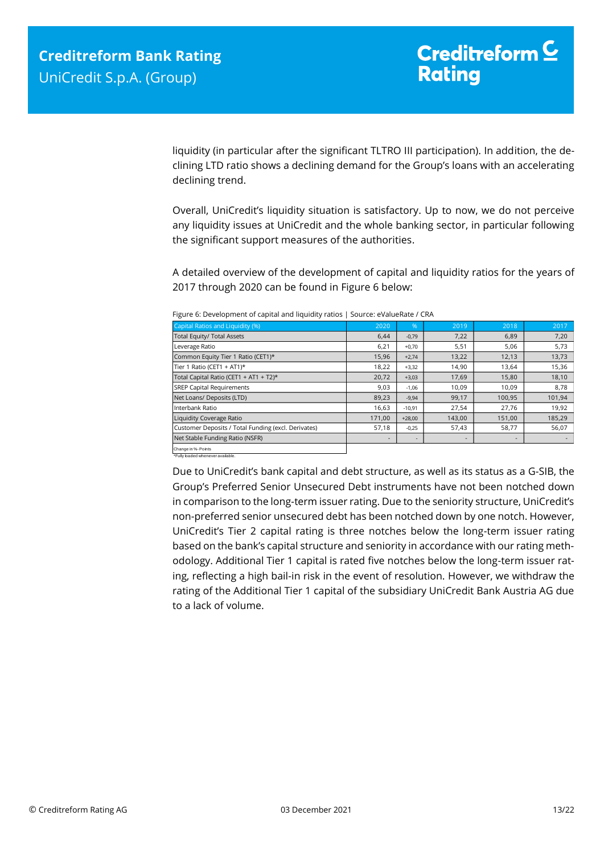liquidity (in particular after the significant TLTRO III participation). In addition, the declining LTD ratio shows a declining demand for the Group's loans with an accelerating declining trend.

Overall, UniCredit's liquidity situation is satisfactory. Up to now, we do not perceive any liquidity issues at UniCredit and the whole banking sector, in particular following the significant support measures of the authorities.

A detailed overview of the development of capital and liquidity ratios for the years of 2017 through 2020 can be found in Figure 6 below:

| Capital Ratios and Liquidity (%)                    | 2020   | %        | 2019   | 2018   | 2017   |
|-----------------------------------------------------|--------|----------|--------|--------|--------|
| Total Equity/ Total Assets                          | 6,44   | $-0,79$  | 7,22   | 6,89   | 7,20   |
| Leverage Ratio                                      | 6,21   | $+0,70$  | 5,51   | 5,06   | 5,73   |
| Common Equity Tier 1 Ratio (CET1)*                  | 15,96  | $+2,74$  | 13,22  | 12,13  | 13,73  |
| Tier 1 Ratio (CET1 + AT1)*                          | 18,22  | $+3,32$  | 14,90  | 13,64  | 15,36  |
| Total Capital Ratio (CET1 + AT1 + T2)*              | 20,72  | $+3,03$  | 17,69  | 15,80  | 18,10  |
| <b>SREP Capital Requirements</b>                    | 9,03   | $-1,06$  | 10,09  | 10,09  | 8,78   |
| Net Loans/ Deposits (LTD)                           | 89,23  | $-9,94$  | 99,17  | 100,95 | 101,94 |
| Interbank Ratio                                     | 16,63  | $-10,91$ | 27,54  | 27,76  | 19,92  |
| <b>Liquidity Coverage Ratio</b>                     | 171,00 | $+28,00$ | 143,00 | 151,00 | 185,29 |
| Customer Deposits / Total Funding (excl. Derivates) | 57,18  | $-0,25$  | 57,43  | 58,77  | 56,07  |
| Net Stable Funding Ratio (NSFR)                     |        |          |        |        |        |
| Change in %- Points                                 |        |          |        |        |        |

Figure 6: Development of capital and liquidity ratios | Source: eValueRate / CRA

Change in %- Points \*Fully loaded whenever available.

Due to UniCredit's bank capital and debt structure, as well as its status as a G-SIB, the Group's Preferred Senior Unsecured Debt instruments have not been notched down in comparison to the long-term issuer rating. Due to the seniority structure, UniCredit's non-preferred senior unsecured debt has been notched down by one notch. However, UniCredit's Tier 2 capital rating is three notches below the long-term issuer rating based on the bank's capital structure and seniority in accordance with our rating methodology. Additional Tier 1 capital is rated five notches below the long-term issuer rating, reflecting a high bail-in risk in the event of resolution. However, we withdraw the rating of the Additional Tier 1 capital of the subsidiary UniCredit Bank Austria AG due to a lack of volume.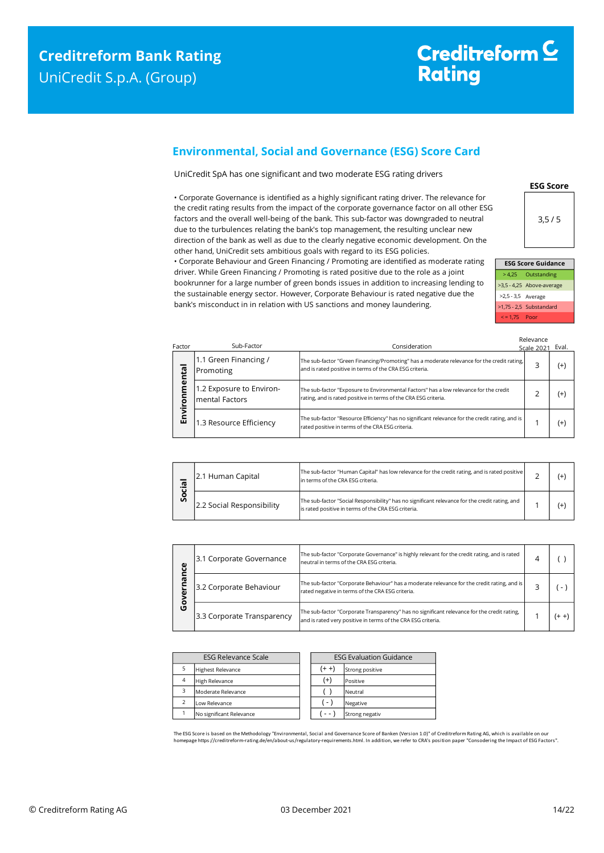### <span id="page-13-0"></span>**Environmental, Social and Governance (ESG) Score Card**

UniCredit SpA has one significant and two moderate ESG rating drivers

• Corporate Governance is identified as a highly significant rating driver. The relevance for the credit rating results from the impact of the corporate governance factor on all other ESG factors and the overall well-being of the bank. This sub-factor was downgraded to neutral due to the turbulences relating the bank's top management, the resulting unclear new direction of the bank as well as due to the clearly negative economic development. On the other hand, UniCredit sets ambitious goals with regard to its ESG policies.

• Corporate Behaviour and Green Financing / Promoting are identified as moderate rating driver. While Green Financing / Promoting is rated positive due to the role as a joint bookrunner for a large number of green bonds issues in addition to increasing lending to the sustainable energy sector. However, Corporate Behaviour is rated negative due the bank's misconduct in in relation with US sanctions and money laundering.

**ESG Score**  $3.5/5$ 

| <b>ESG Score Guidance</b> |                           |  |  |  |
|---------------------------|---------------------------|--|--|--|
|                           | > 4,25 Outstanding        |  |  |  |
|                           | >3,5 - 4,25 Above-average |  |  |  |
| >2,5 - 3,5 Average        |                           |  |  |  |
|                           | $>1,75 - 2,5$ Substandard |  |  |  |
| $\le$ = 1.75 Poor         |                           |  |  |  |

| Factor | Sub-Factor                                 | Consideration                                                                                                                                            | Relevance<br><b>Scale 2021</b> | Eval.    |
|--------|--------------------------------------------|----------------------------------------------------------------------------------------------------------------------------------------------------------|--------------------------------|----------|
| mental | 1.1 Green Financing /<br>Promoting         | The sub-factor "Green Financing/Promoting" has a moderate relevance for the credit rating,<br>and is rated positive in terms of the CRA ESG criteria.    | 3                              | (+)      |
| ō      | 1.2 Exposure to Environ-<br>mental Factors | The sub-factor "Exposure to Environmental Factors" has a low relevance for the credit<br>rating, and is rated positive in terms of the CRA ESG criteria. |                                | (+       |
| Envil  | 1.3 Resource Efficiency                    | The sub-factor "Resource Efficiency" has no significant relevance for the credit rating, and is<br>rated positive in terms of the CRA ESG criteria.      |                                | $^{(+)}$ |

| .യ<br>ပ္တ | 2.1 Human Capital         | The sub-factor "Human Capital" has low relevance for the credit rating, and is rated positive<br>lin terms of the CRA ESG criteria.                   |  |  |
|-----------|---------------------------|-------------------------------------------------------------------------------------------------------------------------------------------------------|--|--|
|           | 2.2 Social Responsibility | The sub-factor "Social Responsibility" has no significant relevance for the credit rating, and<br>is rated positive in terms of the CRA ESG criteria. |  |  |

| ω<br>ū | 3.1 Corporate Governance   | The sub-factor "Corporate Governance" is highly relevant for the credit rating, and is rated<br>neutral in terms of the CRA ESG criteria.                   |  |         |
|--------|----------------------------|-------------------------------------------------------------------------------------------------------------------------------------------------------------|--|---------|
| ۵J     | 3.2 Corporate Behaviour    | The sub-factor "Corporate Behaviour" has a moderate relevance for the credit rating, and is<br>rated negative in terms of the CRA ESG criteria.             |  |         |
| o<br>O | 3.3 Corporate Transparency | The sub-factor "Corporate Transparency" has no significant relevance for the credit rating,<br>and is rated very positive in terms of the CRA ESG criteria. |  | $(+ +)$ |

| <b>ESG Relevance Scale</b> |                          | <b>ESG Evaluation Guidance</b> |                 |
|----------------------------|--------------------------|--------------------------------|-----------------|
|                            | <b>Highest Relevance</b> | $(+ +)$                        | Strong positive |
| $\overline{4}$             | <b>High Relevance</b>    | $^{(+)}$                       | Positive        |
| з                          | Moderate Relevance       |                                | Neutral         |
|                            | Low Relevance            | $\left( -\right)$              | Negative        |
|                            | No significant Relevance | - -                            | Strong negativ  |

The ESG Score is based on the Methodology "Environmental, Social and Governance Score of Banken (Version 1.0)" of Creditreform Rating AG, which is available on our homepage https://creditreform-rating.de/en/about-us/regulatory-requirements.html. In addition, we refer to CRA's position paper "Consodering the Impact of ESG Factors".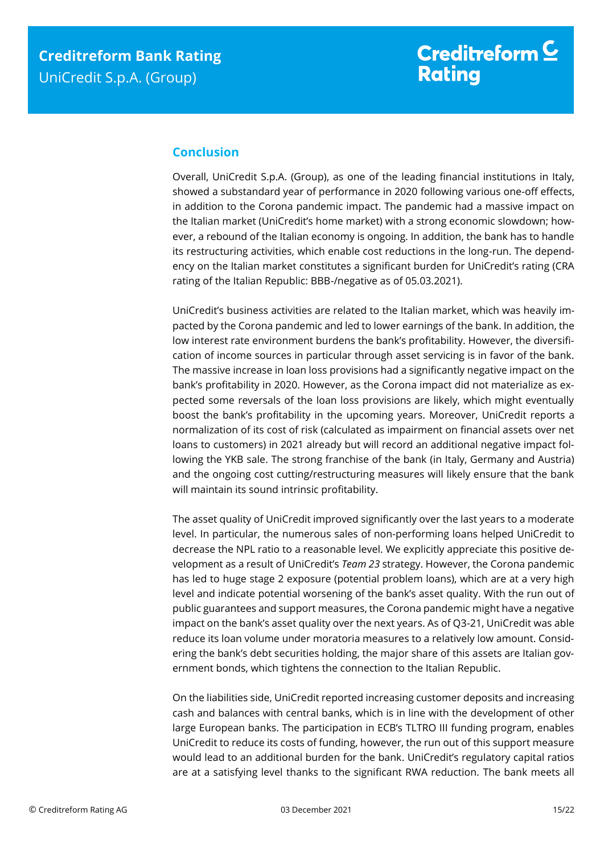### <span id="page-14-0"></span>**Conclusion**

Overall, UniCredit S.p.A. (Group), as one of the leading financial institutions in Italy, showed a substandard year of performance in 2020 following various one-off effects, in addition to the Corona pandemic impact. The pandemic had a massive impact on the Italian market (UniCredit's home market) with a strong economic slowdown; however, a rebound of the Italian economy is ongoing. In addition, the bank has to handle its restructuring activities, which enable cost reductions in the long-run. The dependency on the Italian market constitutes a significant burden for UniCredit's rating (CRA rating of the Italian Republic: BBB-/negative as of 05.03.2021).

UniCredit's business activities are related to the Italian market, which was heavily impacted by the Corona pandemic and led to lower earnings of the bank. In addition, the low interest rate environment burdens the bank's profitability. However, the diversification of income sources in particular through asset servicing is in favor of the bank. The massive increase in loan loss provisions had a significantly negative impact on the bank's profitability in 2020. However, as the Corona impact did not materialize as expected some reversals of the loan loss provisions are likely, which might eventually boost the bank's profitability in the upcoming years. Moreover, UniCredit reports a normalization of its cost of risk (calculated as impairment on financial assets over net loans to customers) in 2021 already but will record an additional negative impact following the YKB sale. The strong franchise of the bank (in Italy, Germany and Austria) and the ongoing cost cutting/restructuring measures will likely ensure that the bank will maintain its sound intrinsic profitability.

The asset quality of UniCredit improved significantly over the last years to a moderate level. In particular, the numerous sales of non-performing loans helped UniCredit to decrease the NPL ratio to a reasonable level. We explicitly appreciate this positive development as a result of UniCredit's *Team 23* strategy. However, the Corona pandemic has led to huge stage 2 exposure (potential problem loans), which are at a very high level and indicate potential worsening of the bank's asset quality. With the run out of public guarantees and support measures, the Corona pandemic might have a negative impact on the bank's asset quality over the next years. As of Q3-21, UniCredit was able reduce its loan volume under moratoria measures to a relatively low amount. Considering the bank's debt securities holding, the major share of this assets are Italian government bonds, which tightens the connection to the Italian Republic.

On the liabilities side, UniCredit reported increasing customer deposits and increasing cash and balances with central banks, which is in line with the development of other large European banks. The participation in ECB's TLTRO III funding program, enables UniCredit to reduce its costs of funding, however, the run out of this support measure would lead to an additional burden for the bank. UniCredit's regulatory capital ratios are at a satisfying level thanks to the significant RWA reduction. The bank meets all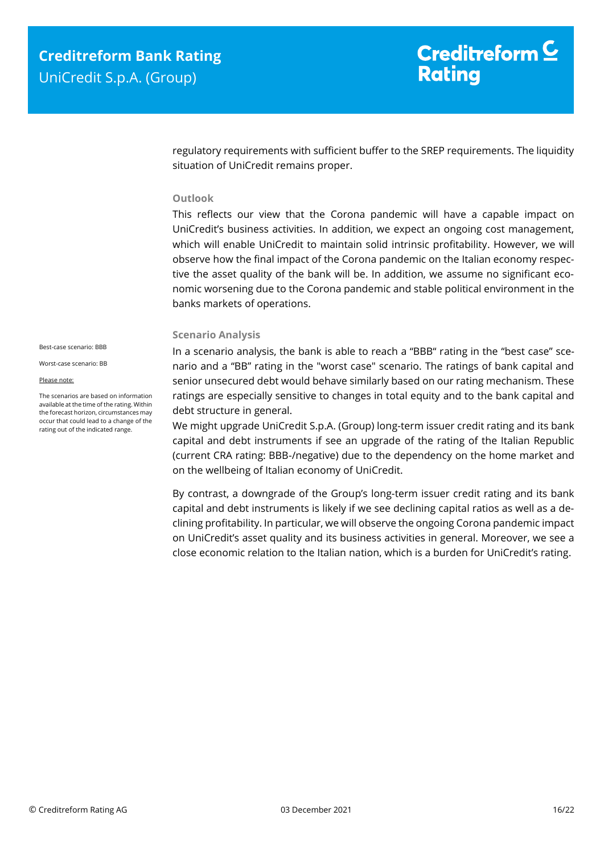regulatory requirements with sufficient buffer to the SREP requirements. The liquidity situation of UniCredit remains proper.

#### **Outlook**

This reflects our view that the Corona pandemic will have a capable impact on UniCredit's business activities. In addition, we expect an ongoing cost management, which will enable UniCredit to maintain solid intrinsic profitability. However, we will observe how the final impact of the Corona pandemic on the Italian economy respective the asset quality of the bank will be. In addition, we assume no significant economic worsening due to the Corona pandemic and stable political environment in the banks markets of operations.

#### **Scenario Analysis**

Best-case scenario: BBB

Worst-case scenario: BB

#### Please note:

The scenarios are based on information available at the time of the rating. Within the forecast horizon, circumstances may occur that could lead to a change of the rating out of the indicated range.

In a scenario analysis, the bank is able to reach a "BBB" rating in the "best case" scenario and a "BB" rating in the "worst case" scenario. The ratings of bank capital and senior unsecured debt would behave similarly based on our rating mechanism. These ratings are especially sensitive to changes in total equity and to the bank capital and debt structure in general.

We might upgrade UniCredit S.p.A. (Group) long-term issuer credit rating and its bank capital and debt instruments if see an upgrade of the rating of the Italian Republic (current CRA rating: BBB-/negative) due to the dependency on the home market and on the wellbeing of Italian economy of UniCredit.

By contrast, a downgrade of the Group's long-term issuer credit rating and its bank capital and debt instruments is likely if we see declining capital ratios as well as a declining profitability. In particular, we will observe the ongoing Corona pandemic impact on UniCredit's asset quality and its business activities in general. Moreover, we see a close economic relation to the Italian nation, which is a burden for UniCredit's rating.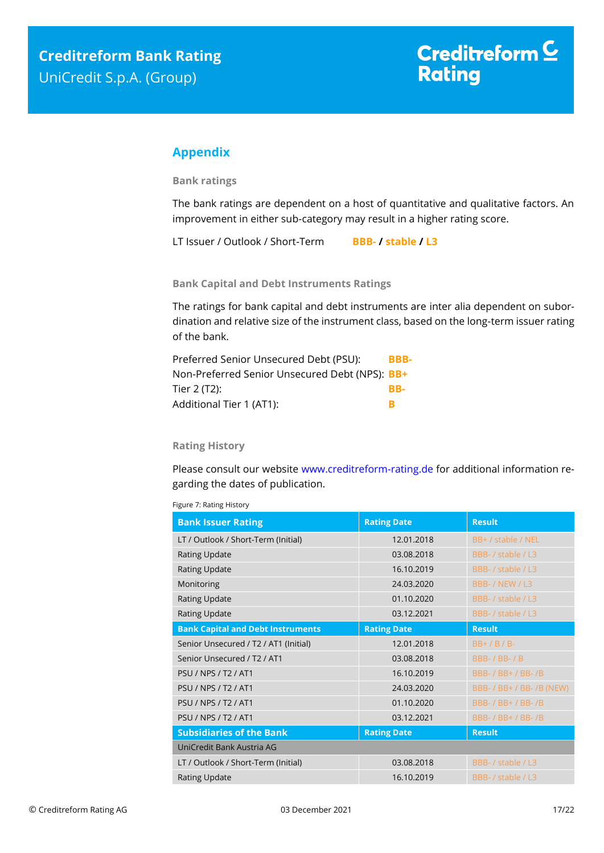### <span id="page-16-0"></span>**Appendix**

**Bank ratings**

The bank ratings are dependent on a host of quantitative and qualitative factors. An improvement in either sub-category may result in a higher rating score.

LT Issuer / Outlook / Short-Term **BBB- / stable / L3**

**Bank Capital and Debt Instruments Ratings**

The ratings for bank capital and debt instruments are inter alia dependent on subordination and relative size of the instrument class, based on the long-term issuer rating of the bank.

| Preferred Senior Unsecured Debt (PSU):         | BBB- |
|------------------------------------------------|------|
| Non-Preferred Senior Unsecured Debt (NPS): BB+ |      |
| Tier 2 (T2):                                   | RR-  |
| Additional Tier 1 (AT1):                       |      |

#### **Rating History**

Please consult our website [www.creditreform-rating.de](http://www.creditreform-rating.de/) for additional information regarding the dates of publication.

|  | Figure 7: Rating History |
|--|--------------------------|
|  |                          |

| <b>Bank Issuer Rating</b>                | <b>Rating Date</b> | <b>Result</b>             |
|------------------------------------------|--------------------|---------------------------|
| LT / Outlook / Short-Term (Initial)      | 12.01.2018         | BB+ / stable / NEL        |
| <b>Rating Update</b>                     | 03.08.2018         | BBB- / stable / L3        |
| <b>Rating Update</b>                     | 16.10.2019         | BBB- / stable / L3        |
| Monitoring                               | 24.03.2020         | BBB- / NEW / L3           |
| <b>Rating Update</b>                     | 01.10.2020         | BBB- / stable / L3        |
| Rating Update                            | 03.12.2021         | BBB- / stable / L3        |
| <b>Bank Capital and Debt Instruments</b> | <b>Rating Date</b> | <b>Result</b>             |
| Senior Unsecured / T2 / AT1 (Initial)    | 12.01.2018         | $BB+$ / B / B-            |
| Senior Unsecured / T2 / AT1              | 03.08.2018         | <b>BBB-/BB-/B</b>         |
| <b>PSU / NPS / T2 / AT1</b>              | 16.10.2019         | BBB- / BB+ / BB- /B       |
| <b>PSU / NPS / T2 / AT1</b>              | 24.03.2020         | BBB- / BB+ / BB- /B (NEW) |
| <b>PSU / NPS / T2 / AT1</b>              | 01.10.2020         | BBB- / BB+ / BB- /B       |
| <b>PSU / NPS / T2 / AT1</b>              | 03.12.2021         | BBB- / BB+ / BB- /B       |
| <b>Subsidiaries of the Bank</b>          | <b>Rating Date</b> | <b>Result</b>             |
| UniCredit Bank Austria AG                |                    |                           |
| LT / Outlook / Short-Term (Initial)      | 03.08.2018         | BBB- / stable / L3        |
| <b>Rating Update</b>                     | 16.10.2019         | BBB- / stable / L3        |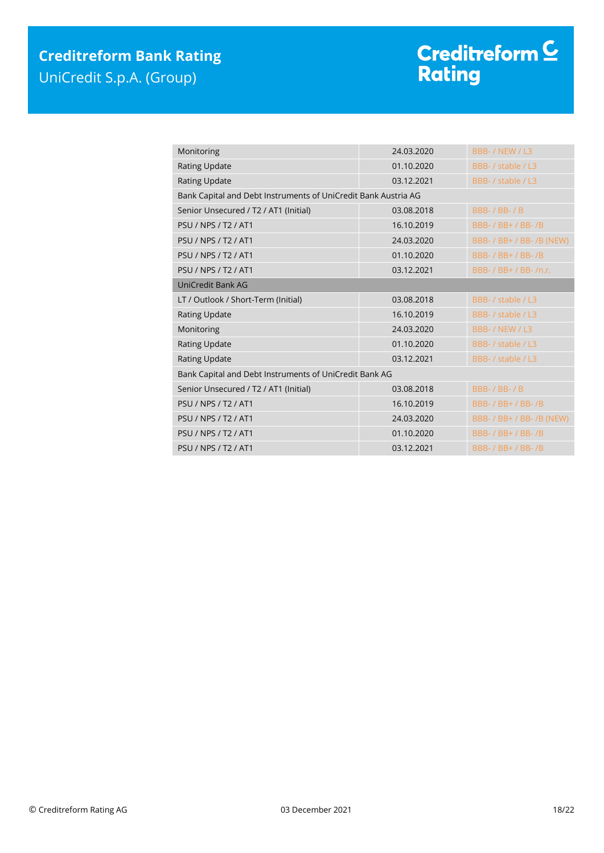| Monitoring                                                     | 24.03.2020                                             | BBB- / NEW / L3           |  |  |
|----------------------------------------------------------------|--------------------------------------------------------|---------------------------|--|--|
| <b>Rating Update</b>                                           | 01.10.2020                                             | BBB- / stable / L3        |  |  |
| Rating Update                                                  | 03.12.2021                                             | BBB- / stable / L3        |  |  |
| Bank Capital and Debt Instruments of UniCredit Bank Austria AG |                                                        |                           |  |  |
| Senior Unsecured / T2 / AT1 (Initial)                          | 03.08.2018                                             | <b>BBB-/BB-/B</b>         |  |  |
| <b>PSU / NPS / T2 / AT1</b>                                    | 16.10.2019                                             | BBB- / BB+ / BB- / B      |  |  |
| <b>PSU / NPS / T2 / AT1</b>                                    | 24.03.2020                                             | BBB- / BB+ / BB- /B (NEW) |  |  |
| <b>PSU / NPS / T2 / AT1</b>                                    | 01.10.2020                                             | <b>BBB-/BB+/BB-/B</b>     |  |  |
| <b>PSU / NPS / T2 / AT1</b>                                    | 03.12.2021                                             | BBB- / BB+ / BB- /n.r.    |  |  |
| UniCredit Bank AG                                              |                                                        |                           |  |  |
| LT / Outlook / Short-Term (Initial)                            | 03.08.2018                                             | BBB- / stable / L3        |  |  |
| <b>Rating Update</b>                                           | 16.10.2019                                             | BBB- / stable / L3        |  |  |
| Monitoring                                                     | 24.03.2020                                             | BBB- / NEW / L3           |  |  |
| <b>Rating Update</b>                                           | 01.10.2020                                             | BBB- / stable / L3        |  |  |
| Rating Update                                                  | 03.12.2021                                             | BBB- / stable / L3        |  |  |
|                                                                | Bank Capital and Debt Instruments of UniCredit Bank AG |                           |  |  |
| Senior Unsecured / T2 / AT1 (Initial)                          | 03.08.2018                                             | <b>BBB-/BB-/B</b>         |  |  |
| <b>PSU / NPS / T2 / AT1</b>                                    | 16.10.2019                                             | BBB- / BB+ / BB- /B       |  |  |
| <b>PSU / NPS / T2 / AT1</b>                                    | 24.03.2020                                             | BBB- / BB+ / BB- /B (NEW) |  |  |
| <b>PSU / NPS / T2 / AT1</b>                                    | 01.10.2020                                             | BBB- / BB+ / BB- / B      |  |  |
| <b>PSU / NPS / T2 / AT1</b>                                    | 03.12.2021                                             | BBB- / BB+ / BB- /B       |  |  |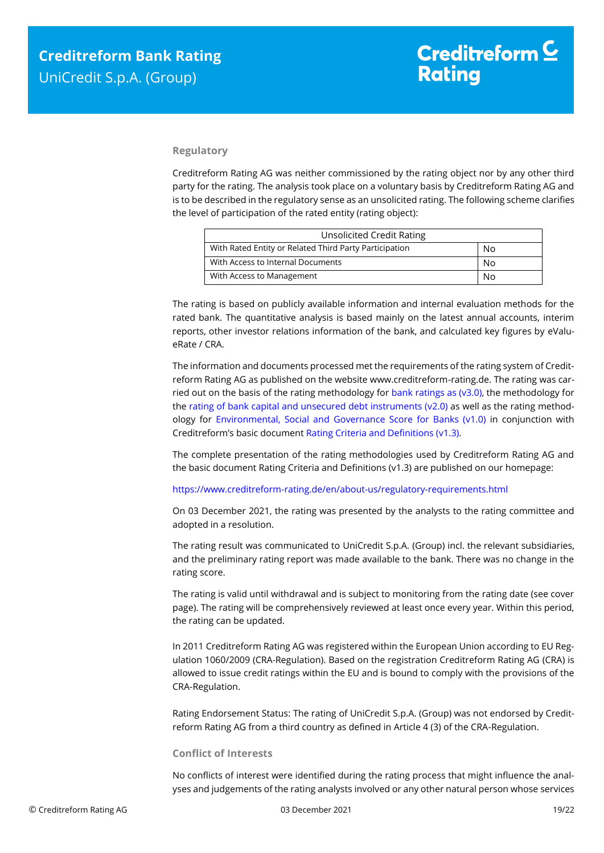#### **Regulatory**

Creditreform Rating AG was neither commissioned by the rating object nor by any other third party for the rating. The analysis took place on a voluntary basis by Creditreform Rating AG and is to be described in the regulatory sense as an unsolicited rating. The following scheme clarifies the level of participation of the rated entity (rating object):

| <b>Unsolicited Credit Rating</b>                       |    |
|--------------------------------------------------------|----|
| With Rated Entity or Related Third Party Participation | No |
| With Access to Internal Documents                      | No |
| With Access to Management                              | No |

The rating is based on publicly available information and internal evaluation methods for the rated bank. The quantitative analysis is based mainly on the latest annual accounts, interim reports, other investor relations information of the bank, and calculated key figures by eValueRate / CRA.

The information and documents processed met the requirements of the rating system of Creditreform Rating AG as published on the website www.creditreform-rating.de. The rating was carried out on the basis of the rating methodology for bank ratings as ( $v3.0$ ), the methodology for the [rating of bank capital and unsecured debt instruments \(v2.0\)](https://www.creditreform-rating.de/en/about-us/regulatory-requirements.html?file=files/content/downloads/Externes%20Rating/Regulatorische%20Anforderungen/EN/Ratingmethodiken%20EN/Bank%20Capital%20and%20Unsecured%20Debt%20Instruments%20Methodology.pdf) as well as the rating methodology for Environmental, Social and [Governance Score for Banks \(v1.0\)](https://www.creditreform-rating.de/en/about-us/regulatory-requirements.html?file=files/content/downloads/Externes%20Rating/Regulatorische%20Anforderungen/EN/Ratingmethodiken%20EN/Rating%20Methodology%20ESG%20v1.0.pdf) in conjunction with Creditreform's basic document [Rating Criteria and Definitions \(v1.3\).](https://www.creditreform-rating.de/en/about-us/regulatory-requirements.html?file=files/content/downloads/Externes%20Rating/Regulatorische%20Anforderungen/EN/Ratingmethodiken%20EN/CRAG%20Rating%20Criteria%20and%20Definitions.pdf)

The complete presentation of the rating methodologies used by Creditreform Rating AG and the basic document Rating Criteria and Definitions (v1.3) are published on our homepage:

<https://www.creditreform-rating.de/en/about-us/regulatory-requirements.html>

On 03 December 2021, the rating was presented by the analysts to the rating committee and adopted in a resolution.

The rating result was communicated to UniCredit S.p.A. (Group) incl. the relevant subsidiaries, and the preliminary rating report was made available to the bank. There was no change in the rating score.

The rating is valid until withdrawal and is subject to monitoring from the rating date (see cover page). The rating will be comprehensively reviewed at least once every year. Within this period, the rating can be updated.

In 2011 Creditreform Rating AG was registered within the European Union according to EU Regulation 1060/2009 (CRA-Regulation). Based on the registration Creditreform Rating AG (CRA) is allowed to issue credit ratings within the EU and is bound to comply with the provisions of the CRA-Regulation.

Rating Endorsement Status: The rating of UniCredit S.p.A. (Group) was not endorsed by Creditreform Rating AG from a third country as defined in Article 4 (3) of the CRA-Regulation.

#### **Conflict of Interests**

No conflicts of interest were identified during the rating process that might influence the analyses and judgements of the rating analysts involved or any other natural person whose services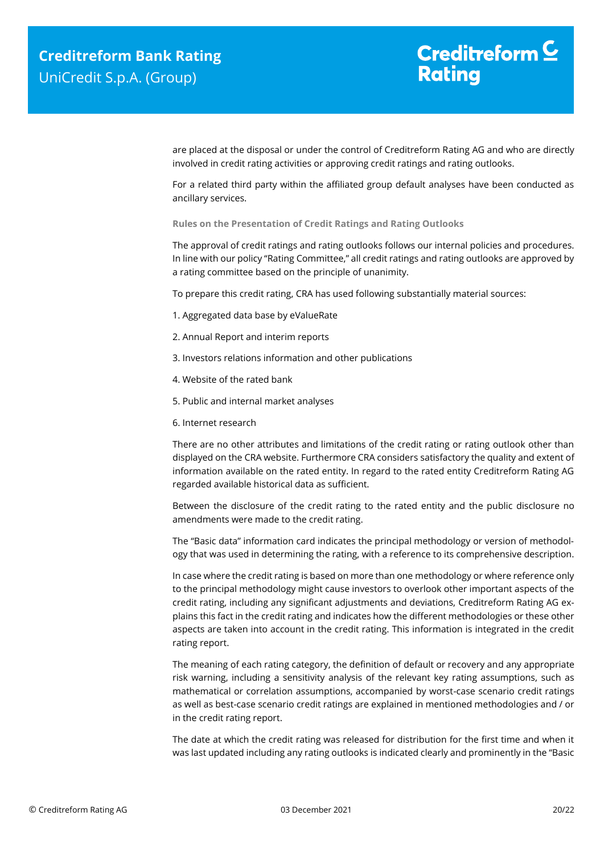are placed at the disposal or under the control of Creditreform Rating AG and who are directly involved in credit rating activities or approving credit ratings and rating outlooks.

For a related third party within the affiliated group default analyses have been conducted as ancillary services.

**Rules on the Presentation of Credit Ratings and Rating Outlooks**

The approval of credit ratings and rating outlooks follows our internal policies and procedures. In line with our policy "Rating Committee," all credit ratings and rating outlooks are approved by a rating committee based on the principle of unanimity.

To prepare this credit rating, CRA has used following substantially material sources:

- 1. Aggregated data base by eValueRate
- 2. Annual Report and interim reports
- 3. Investors relations information and other publications
- 4. Website of the rated bank
- 5. Public and internal market analyses
- 6. Internet research

There are no other attributes and limitations of the credit rating or rating outlook other than displayed on the CRA website. Furthermore CRA considers satisfactory the quality and extent of information available on the rated entity. In regard to the rated entity Creditreform Rating AG regarded available historical data as sufficient.

Between the disclosure of the credit rating to the rated entity and the public disclosure no amendments were made to the credit rating.

The "Basic data" information card indicates the principal methodology or version of methodology that was used in determining the rating, with a reference to its comprehensive description.

In case where the credit rating is based on more than one methodology or where reference only to the principal methodology might cause investors to overlook other important aspects of the credit rating, including any significant adjustments and deviations, Creditreform Rating AG explains this fact in the credit rating and indicates how the different methodologies or these other aspects are taken into account in the credit rating. This information is integrated in the credit rating report.

The meaning of each rating category, the definition of default or recovery and any appropriate risk warning, including a sensitivity analysis of the relevant key rating assumptions, such as mathematical or correlation assumptions, accompanied by worst-case scenario credit ratings as well as best-case scenario credit ratings are explained in mentioned methodologies and / or in the credit rating report.

The date at which the credit rating was released for distribution for the first time and when it was last updated including any rating outlooks is indicated clearly and prominently in the "Basic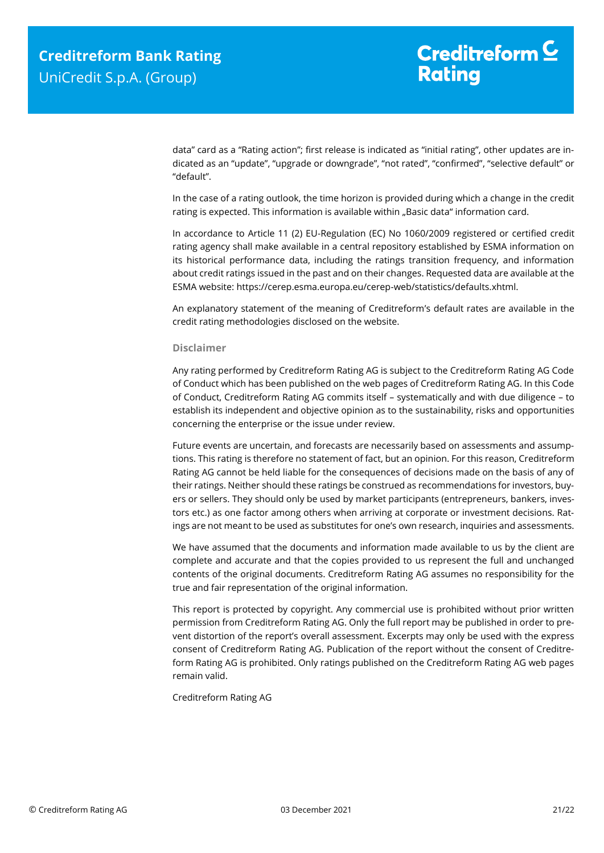data" card as a "Rating action"; first release is indicated as "initial rating", other updates are indicated as an "update", "upgrade or downgrade", "not rated", "confirmed", "selective default" or "default".

In the case of a rating outlook, the time horizon is provided during which a change in the credit rating is expected. This information is available within "Basic data" information card.

In accordance to Article 11 (2) EU-Regulation (EC) No 1060/2009 registered or certified credit rating agency shall make available in a central repository established by ESMA information on its historical performance data, including the ratings transition frequency, and information about credit ratings issued in the past and on their changes. Requested data are available at the ESMA website: https://cerep.esma.europa.eu/cerep-web/statistics/defaults.xhtml.

An explanatory statement of the meaning of Creditreform's default rates are available in the credit rating methodologies disclosed on the website.

#### **Disclaimer**

Any rating performed by Creditreform Rating AG is subject to the Creditreform Rating AG Code of Conduct which has been published on the web pages of Creditreform Rating AG. In this Code of Conduct, Creditreform Rating AG commits itself – systematically and with due diligence – to establish its independent and objective opinion as to the sustainability, risks and opportunities concerning the enterprise or the issue under review.

Future events are uncertain, and forecasts are necessarily based on assessments and assumptions. This rating is therefore no statement of fact, but an opinion. For this reason, Creditreform Rating AG cannot be held liable for the consequences of decisions made on the basis of any of their ratings. Neither should these ratings be construed as recommendations for investors, buyers or sellers. They should only be used by market participants (entrepreneurs, bankers, investors etc.) as one factor among others when arriving at corporate or investment decisions. Ratings are not meant to be used as substitutes for one's own research, inquiries and assessments.

We have assumed that the documents and information made available to us by the client are complete and accurate and that the copies provided to us represent the full and unchanged contents of the original documents. Creditreform Rating AG assumes no responsibility for the true and fair representation of the original information.

This report is protected by copyright. Any commercial use is prohibited without prior written permission from Creditreform Rating AG. Only the full report may be published in order to prevent distortion of the report's overall assessment. Excerpts may only be used with the express consent of Creditreform Rating AG. Publication of the report without the consent of Creditreform Rating AG is prohibited. Only ratings published on the Creditreform Rating AG web pages remain valid.

Creditreform Rating AG